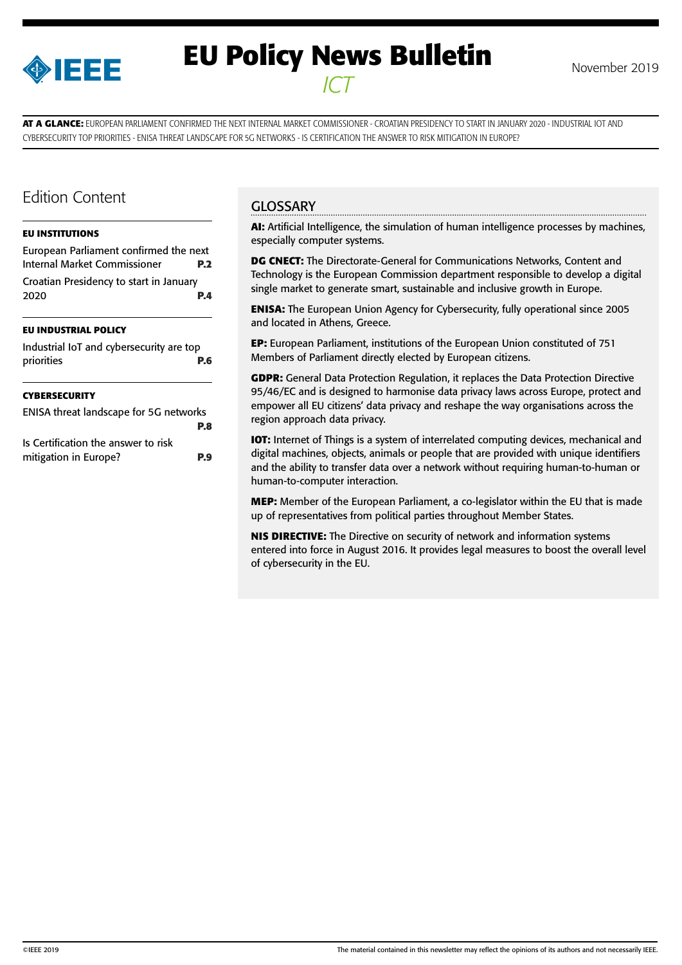

# **EU Policy News Bulletin** November 2019 *ICT*

**AT A GLANCE:** EUROPEAN PARLIAMENT CONFIRMED THE NEXT INTERNAL MARKET COMMISSIONER - CROATIAN PRESIDENCY TO START IN JANUARY 2020 - INDUSTRIAL IOT AND CYBERSECURITY TOP PRIORITIES - ENISA THREAT LANDSCAPE FOR 5G NETWORKS - IS CERTIFICATION THE ANSWER TO RISK MITIGATION IN EUROPE?

# Edition Content

#### **[EU INSTITUTIONS](#page-1-0)**

[European Parliament confirmed the next](#page-1-0)  [Internal Market Commissioner](#page-1-0) **P.2** [Croatian Presidency to start in January](#page-3-0)  [2020](#page-3-0) **P.4**

#### **[EU INDUSTRIAL POLICY](#page-5-0)**

| Industrial IoT and cybersecurity are top |     |
|------------------------------------------|-----|
| priorities                               | P.6 |

#### **[CYBERSECURITY](#page-7-0)**

| ENISA threat landscape for 5G networks |            |
|----------------------------------------|------------|
|                                        | P.8        |
| Is Certification the answer to risk    |            |
| mitigation in Europe?                  | <b>P.9</b> |

## **GLOSSARY**

**AI:** Artificial Intelligence, the simulation of human intelligence processes by machines, especially computer systems.

**DG CNECT:** The Directorate-General for Communications Networks, Content and Technology is the European Commission department responsible to develop a digital single market to generate smart, sustainable and inclusive growth in Europe.

**ENISA:** The European Union Agency for Cybersecurity, fully operational since 2005 and located in Athens, Greece.

**EP:** European Parliament, institutions of the European Union constituted of 751 Members of Parliament directly elected by European citizens.

**GDPR:** General Data Protection Regulation, it replaces the Data Protection Directive 95/46/EC and is designed to harmonise data privacy laws across Europe, protect and empower all EU citizens' data privacy and reshape the way organisations across the region approach data privacy.

**IOT:** Internet of Things is a system of interrelated computing devices, mechanical and digital machines, objects, animals or people that are provided with unique identifiers and the ability to transfer data over a network without requiring human-to-human or human-to-computer interaction.

**MEP:** Member of the European Parliament, a co-legislator within the EU that is made up of representatives from political parties throughout Member States.

**NIS DIRECTIVE:** The Directive on security of network and information systems entered into force in August 2016. It provides legal measures to boost the overall level of cybersecurity in the EU.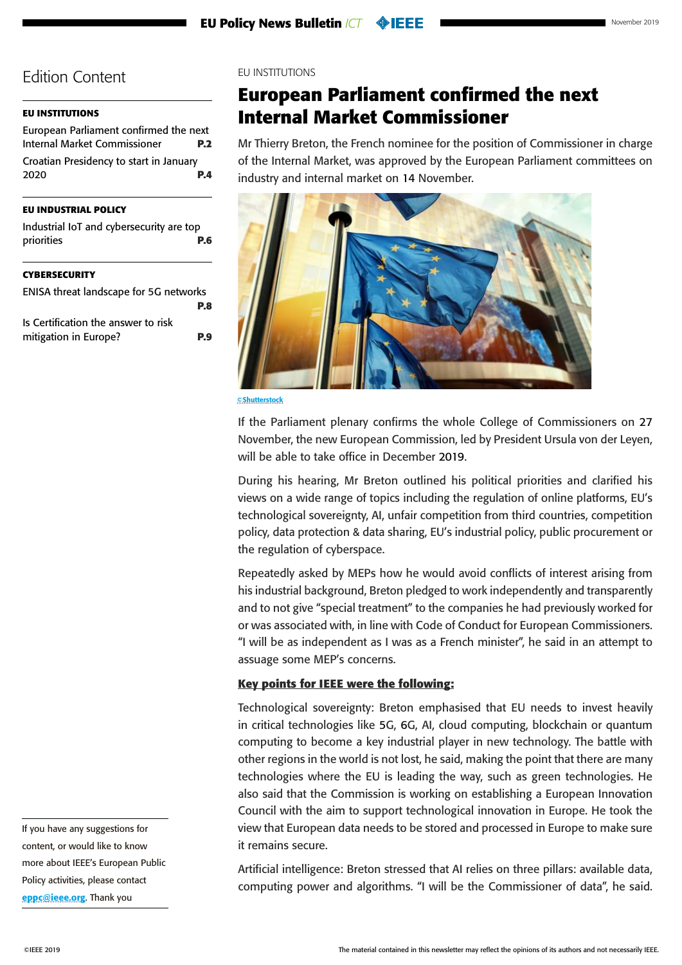### <span id="page-1-0"></span>**EU INSTITUTIONS**

| European Parliament confirmed the next  |            |
|-----------------------------------------|------------|
| Internal Market Commissioner            | <b>P.2</b> |
| Croatian Presidency to start in January |            |
| 2020                                    | P.A        |
|                                         |            |

## **[EU INDUSTRIAL POLICY](#page-5-0)**

|            | Industrial IoT and cybersecurity are top |
|------------|------------------------------------------|
| priorities | P.6                                      |

#### **[CYBERSECURITY](#page-7-0)**

| ENISA threat landscape for 5G networks |            |
|----------------------------------------|------------|
|                                        | P.8        |
| Is Certification the answer to risk    |            |
| mitigation in Europe?                  | <b>P.9</b> |

EU INSTITUTIONS

# **European Parliament confirmed the next Internal Market Commissioner**

Mr Thierry Breton, the French nominee for the position of Commissioner in charge of the Internal Market, was approved by the European Parliament committees on industry and internal market on 14 November.



©Shutterstock

If the Parliament plenary confirms the whole College of Commissioners on 27 November, the new European Commission, led by President Ursula von der Leyen, will be able to take office in December 2019.

During his hearing, Mr Breton outlined his political priorities and clarified his views on a wide range of topics including the regulation of online platforms, EU's technological sovereignty, AI, unfair competition from third countries, competition policy, data protection & data sharing, EU's industrial policy, public procurement or the regulation of cyberspace.

Repeatedly asked by MEPs how he would avoid conflicts of interest arising from his industrial background, Breton pledged to work independently and transparently and to not give "special treatment" to the companies he had previously worked for or was associated with, in line with Code of Conduct for European Commissioners. "I will be as independent as I was as a French minister", he said in an attempt to assuage some MEP's concerns.

#### **Key points for IEEE were the following:**

Technological sovereignty: Breton emphasised that EU needs to invest heavily in critical technologies like 5G, 6G, AI, cloud computing, blockchain or quantum computing to become a key industrial player in new technology. The battle with other regions in the world is not lost, he said, making the point that there are many technologies where the EU is leading the way, such as green technologies. He also said that the Commission is working on establishing a European Innovation Council with the aim to support technological innovation in Europe. He took the view that European data needs to be stored and processed in Europe to make sure it remains secure.

Artificial intelligence: Breton stressed that AI relies on three pillars: available data, computing power and algorithms. "I will be the Commissioner of data", he said.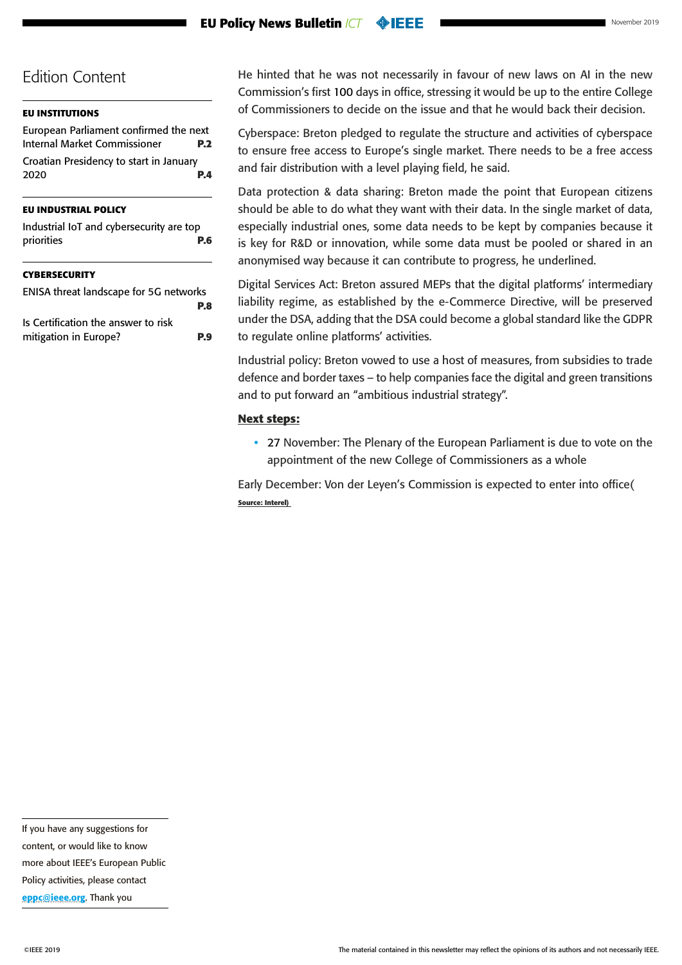#### **EU Policy News Bulletin** *ICT* **OBJEET**

# Edition Content

#### **[EU INSTITUTIONS](#page-1-0)**

[European Parliament confirmed the next](#page-1-0)  [Internal Market Commissioner](#page-1-0) **P.2** [Croatian Presidency to start in January](#page-3-0)  [2020](#page-3-0) **P.4**

#### **[EU INDUSTRIAL POLICY](#page-5-0)**

| Industrial IoT and cybersecurity are top |     |
|------------------------------------------|-----|
| priorities                               | P.6 |

#### **[CYBERSECURITY](#page-7-0)**

| ENISA threat landscape for 5G networks |            |
|----------------------------------------|------------|
|                                        | P.8        |
| Is Certification the answer to risk    |            |
| mitigation in Europe?                  | <b>P.9</b> |

He hinted that he was not necessarily in favour of new laws on AI in the new Commission's first 100 days in office, stressing it would be up to the entire College of Commissioners to decide on the issue and that he would back their decision.

Cyberspace: Breton pledged to regulate the structure and activities of cyberspace to ensure free access to Europe's single market. There needs to be a free access and fair distribution with a level playing field, he said.

Data protection & data sharing: Breton made the point that European citizens should be able to do what they want with their data. In the single market of data, especially industrial ones, some data needs to be kept by companies because it is key for R&D or innovation, while some data must be pooled or shared in an anonymised way because it can contribute to progress, he underlined.

Digital Services Act: Breton assured MEPs that the digital platforms' intermediary liability regime, as established by the e-Commerce Directive, will be preserved under the DSA, adding that the DSA could become a global standard like the GDPR to regulate online platforms' activities.

Industrial policy: Breton vowed to use a host of measures, from subsidies to trade defence and border taxes – to help companies face the digital and green transitions and to put forward an "ambitious industrial strategy".

#### **Next steps:**

• 27 November: The Plenary of the European Parliament is due to vote on the appointment of the new College of Commissioners as a whole

Early December: Von der Leyen's Commission is expected to enter into office( **Source: Interel)** 

If you have any suggestions for content, or would like to know more about IEEE's European Public Policy activities, please contact [eppc@ieee.org](mailto:eppc%40ieee.org?subject=). Thank you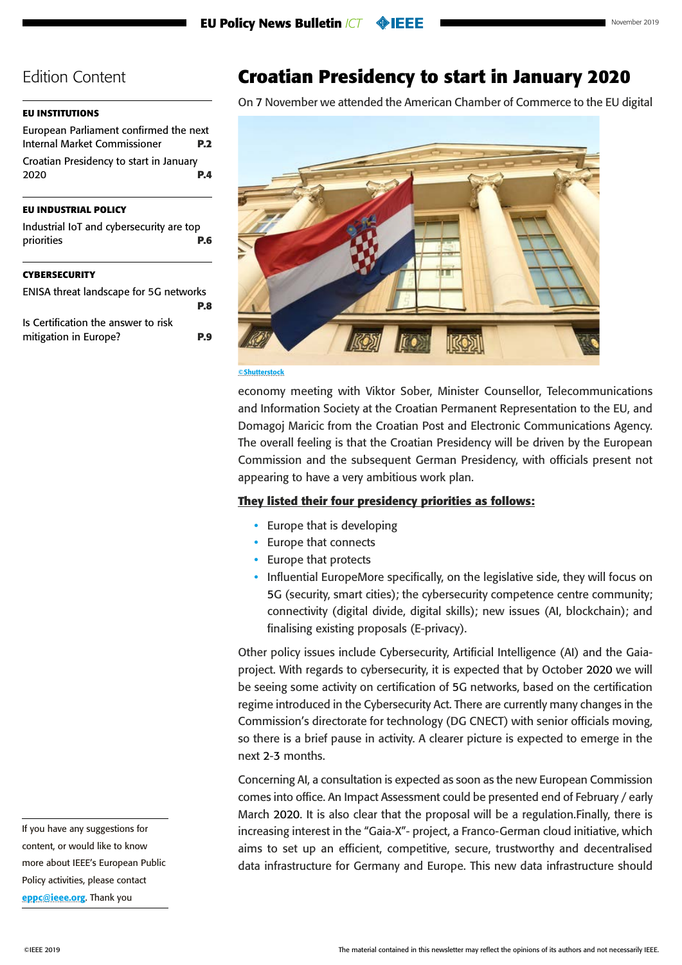### <span id="page-3-0"></span>**[EU INSTITUTIONS](#page-1-0)**

| European Parliament confirmed the next  |  |  |
|-----------------------------------------|--|--|
| <b>P.2</b>                              |  |  |
| Croatian Presidency to start in January |  |  |
| P.A                                     |  |  |
|                                         |  |  |

## **[EU INDUSTRIAL POLICY](#page-5-0)**

|            | Industrial IoT and cybersecurity are top |
|------------|------------------------------------------|
| priorities | P.6                                      |

#### **[CYBERSECURITY](#page-7-0)**

| ENISA threat landscape for 5G networks |            |
|----------------------------------------|------------|
|                                        | P.8        |
| Is Certification the answer to risk    |            |
| mitigation in Europe?                  | <b>P.9</b> |

**Croatian Presidency to start in January 2020**

On 7 November we attended the American Chamber of Commerce to the EU digital



#### **©Shutterstock**

economy meeting with Viktor Sober, Minister Counsellor, Telecommunications and Information Society at the Croatian Permanent Representation to the EU, and Domagoj Maricic from the Croatian Post and Electronic Communications Agency. The overall feeling is that the Croatian Presidency will be driven by the European Commission and the subsequent German Presidency, with officials present not appearing to have a very ambitious work plan.

### **They listed their four presidency priorities as follows:**

- Europe that is developing
- Europe that connects
- Europe that protects
- Influential EuropeMore specifically, on the legislative side, they will focus on 5G (security, smart cities); the cybersecurity competence centre community; connectivity (digital divide, digital skills); new issues (AI, blockchain); and finalising existing proposals (E-privacy).

Other policy issues include Cybersecurity, Artificial Intelligence (AI) and the Gaiaproject. With regards to cybersecurity, it is expected that by October 2020 we will be seeing some activity on certification of 5G networks, based on the certification regime introduced in the Cybersecurity Act. There are currently many changes in the Commission's directorate for technology (DG CNECT) with senior officials moving, so there is a brief pause in activity. A clearer picture is expected to emerge in the next 2-3 months.

Concerning AI, a consultation is expected as soon as the new European Commission comes into office. An Impact Assessment could be presented end of February / early March 2020. It is also clear that the proposal will be a regulation.Finally, there is increasing interest in the "Gaia-X"- project, a Franco-German cloud initiative, which aims to set up an efficient, competitive, secure, trustworthy and decentralised data infrastructure for Germany and Europe. This new data infrastructure should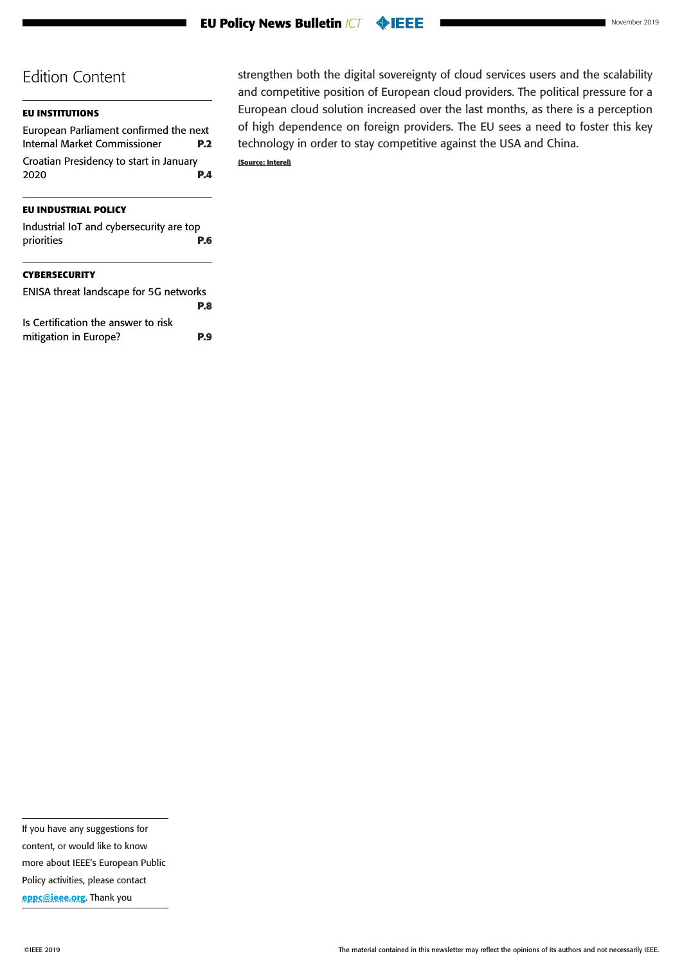| November 2019 |  |
|---------------|--|
|---------------|--|

## **[EU INSTITUTIONS](#page-1-0)**

[European Parliament confirmed the next](#page-1-0)  [Internal Market Commissioner](#page-1-0) **P.2** [Croatian Presidency to start in January](#page-3-0)  [2020](#page-3-0) **P.4**

### **[EU INDUSTRIAL POLICY](#page-5-0)**

| Industrial IoT and cybersecurity are top |            |
|------------------------------------------|------------|
| priorities                               | <b>P.6</b> |
|                                          |            |

## **[CYBERSECURITY](#page-7-0)**

| ENISA threat landscape for 5G networks |            |
|----------------------------------------|------------|
|                                        | P.8        |
| Is Certification the answer to risk    |            |
| mitigation in Europe?                  | <b>P.9</b> |
|                                        |            |

strengthen both the digital sovereignty of cloud services users and the scalability and competitive position of European cloud providers. The political pressure for a European cloud solution increased over the last months, as there is a perception of high dependence on foreign providers. The EU sees a need to foster this key technology in order to stay competitive against the USA and China. **(Source: Interel)**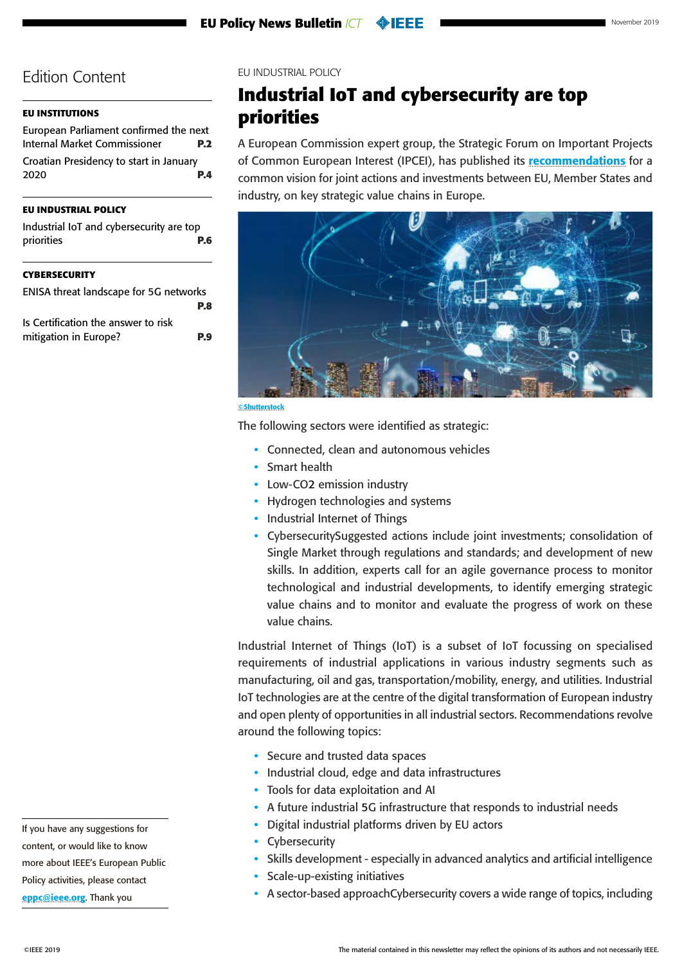## <span id="page-5-0"></span>**[EU INSTITUTIONS](#page-1-0)**

| European Parliament confirmed the next  |            |
|-----------------------------------------|------------|
| Internal Market Commissioner            | <b>P.2</b> |
| Croatian Presidency to start in January |            |
| 2020                                    | P.A        |
|                                         |            |

## **EU INDUSTRIAL POLICY**

| Industrial IoT and cybersecurity are top |  |
|------------------------------------------|--|
| priorities<br><b>P.6</b>                 |  |
|                                          |  |

#### **[CYBERSECURITY](#page-7-0)**

| ENISA threat landscape for 5G networks |     |
|----------------------------------------|-----|
|                                        | P.8 |
| Is Certification the answer to risk    |     |
| mitigation in Europe?                  | P.9 |
|                                        |     |

EU INDUSTRIAL POLICY

# **Industrial IoT and cybersecurity are top priorities**

A European Commission expert group, the Strategic Forum on Important Projects of Common European Interest (IPCEI), has published its **[recommendations](https://ec.europa.eu/docsroom/documents/37824)** for a common vision for joint actions and investments between EU, Member States and industry, on key strategic value chains in Europe.



| ٠ |  |  |  | <br>. . |
|---|--|--|--|---------|

The following sectors were identified as strategic:

- Connected, clean and autonomous vehicles
- Smart health
- Low-CO2 emission industry
- Hydrogen technologies and systems
- Industrial Internet of Things
- CybersecuritySuggested actions include joint investments; consolidation of Single Market through regulations and standards; and development of new skills. In addition, experts call for an agile governance process to monitor technological and industrial developments, to identify emerging strategic value chains and to monitor and evaluate the progress of work on these value chains.

Industrial Internet of Things (IoT) is a subset of IoT focussing on specialised requirements of industrial applications in various industry segments such as manufacturing, oil and gas, transportation/mobility, energy, and utilities. Industrial IoT technologies are at the centre of the digital transformation of European industry and open plenty of opportunities in all industrial sectors. Recommendations revolve around the following topics:

- Secure and trusted data spaces
- Industrial cloud, edge and data infrastructures
- Tools for data exploitation and AI
- A future industrial 5G infrastructure that responds to industrial needs
- Digital industrial platforms driven by EU actors
- Cybersecurity
- Skills development especially in advanced analytics and artificial intelligence
- Scale-up-existing initiatives
- A sector-based approachCybersecurity covers a wide range of topics, including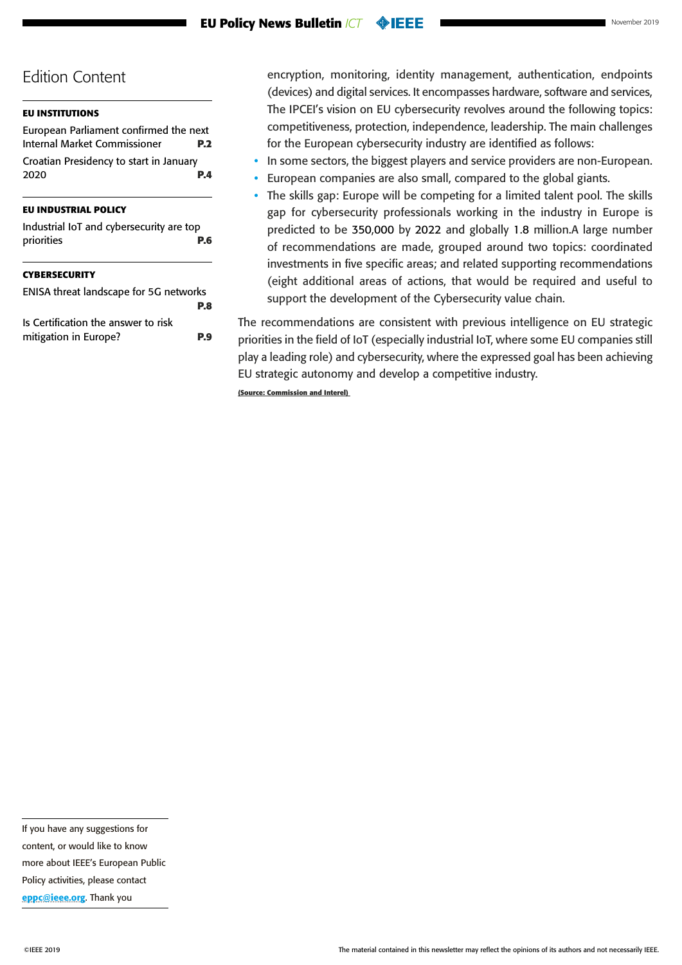#### **[EU INSTITUTIONS](#page-1-0)**

| European Parliament confirmed the next  |            |
|-----------------------------------------|------------|
| Internal Market Commissioner            | <b>P.2</b> |
| Croatian Presidency to start in January |            |
| 2020                                    | P.A        |
|                                         |            |

#### **[EU INDUSTRIAL POLICY](#page-5-0)**

| Industrial IoT and cybersecurity are top |  |            |
|------------------------------------------|--|------------|
| priorities                               |  | <b>P.6</b> |
|                                          |  |            |

#### **[CYBERSECURITY](#page-7-0)**

| ENISA threat landscape for 5G networks |     |
|----------------------------------------|-----|
|                                        | P.8 |
| Is Certification the answer to risk    |     |
| mitigation in Europe?                  | P.9 |
|                                        |     |

encryption, monitoring, identity management, authentication, endpoints (devices) and digital services. It encompasses hardware, software and services, The IPCEI's vision on EU cybersecurity revolves around the following topics: competitiveness, protection, independence, leadership. The main challenges for the European cybersecurity industry are identified as follows:

- In some sectors, the biggest players and service providers are non-European.
- European companies are also small, compared to the global giants.
- The skills gap: Europe will be competing for a limited talent pool. The skills gap for cybersecurity professionals working in the industry in Europe is predicted to be 350,000 by 2022 and globally 1.8 million.A large number of recommendations are made, grouped around two topics: coordinated investments in five specific areas; and related supporting recommendations (eight additional areas of actions, that would be required and useful to support the development of the Cybersecurity value chain.

The recommendations are consistent with previous intelligence on EU strategic priorities in the field of IoT (especially industrial IoT, where some EU companies still play a leading role) and cybersecurity, where the expressed goal has been achieving EU strategic autonomy and develop a competitive industry.

**(Source: Commission and Interel)** 

If you have any suggestions for content, or would like to know more about IEEE's European Public Policy activities, please contact [eppc@ieee.org](mailto:eppc%40ieee.org?subject=). Thank you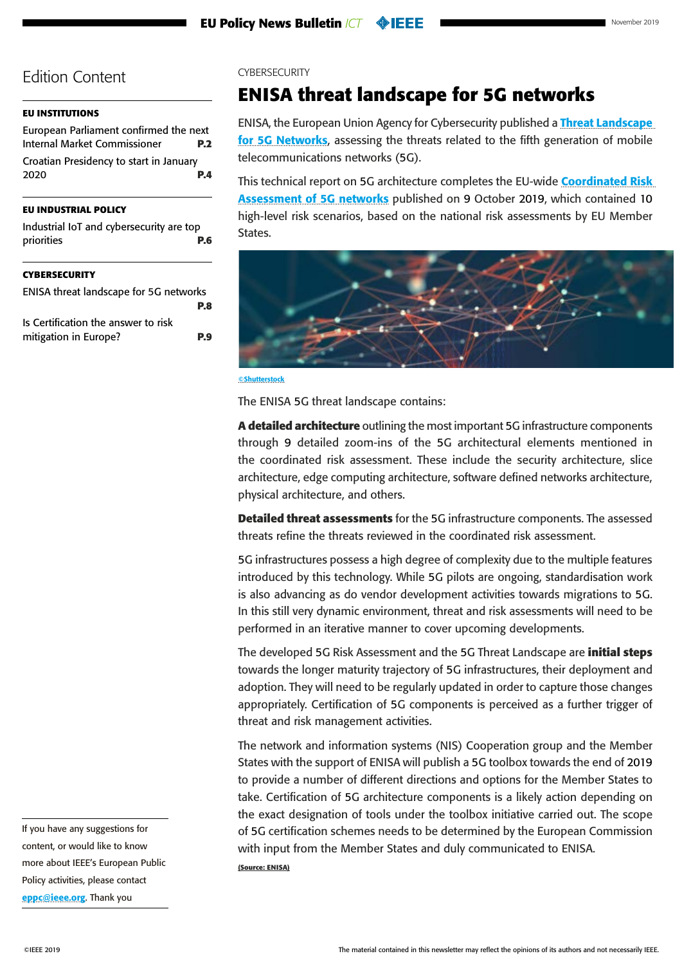### <span id="page-7-0"></span>**[EU INSTITUTIONS](#page-1-0)**

[European Parliament confirmed the next](#page-1-0)  [Internal Market Commissioner](#page-1-0) **P.2** [Croatian Presidency to start in January](#page-3-0)  [2020](#page-3-0) **P.4**

## **[EU INDUSTRIAL POLICY](#page-5-0)**

| <b>CVREDSECURITY</b>                                   |     |
|--------------------------------------------------------|-----|
| Industrial IoT and cybersecurity are top<br>priorities | P.6 |
|                                                        |     |

#### **CYBERSECURITY**

| ENISA threat landscape for 5G networks |            |
|----------------------------------------|------------|
|                                        | P.8        |
| Is Certification the answer to risk    |            |
| mitigation in Europe?                  | <b>P.9</b> |

CYBERSECURITY

# **ENISA threat landscape for 5G networks**

ENISA, the European Union Agency for Cybersecurity published a **Threat Landscape** [for 5G Networks](https://www.politico.eu/wp-content/uploads/2019/11/ENISA-Threat-Landscape-for-5G-November-21.pdf?utm_source=POLITICO.EU&utm_campaign=42c38c1aa4-EMAIL_CAMPAIGN_2019_11_21_08_12&utm_medium=email&utm_term=0_10959edeb5-42c38c1aa4-190351733), assessing the threats related to the fifth generation of mobile telecommunications networks (5G).

This technical report on 5G architecture completes the EU-wide Coordinated Risk [Assessment of 5G networks](https://ec.europa.eu/digital-single-market/en/news/eu-wide-coordinated-risk-assessment-5g-networks-security) published on 9 October 2019, which contained 10 high-level risk scenarios, based on the national risk assessments by EU Member States.



©Shutterstock

The ENISA 5G threat landscape contains:

**A detailed architecture** outlining the most important 5G infrastructure components through 9 detailed zoom-ins of the 5G architectural elements mentioned in the coordinated risk assessment. These include the security architecture, slice architecture, edge computing architecture, software defined networks architecture, physical architecture, and others.

**Detailed threat assessments** for the 5G infrastructure components. The assessed threats refine the threats reviewed in the coordinated risk assessment.

5G infrastructures possess a high degree of complexity due to the multiple features introduced by this technology. While 5G pilots are ongoing, standardisation work is also advancing as do vendor development activities towards migrations to 5G. In this still very dynamic environment, threat and risk assessments will need to be performed in an iterative manner to cover upcoming developments.

The developed 5G Risk Assessment and the 5G Threat Landscape are **initial steps** towards the longer maturity trajectory of 5G infrastructures, their deployment and adoption. They will need to be regularly updated in order to capture those changes appropriately. Certification of 5G components is perceived as a further trigger of threat and risk management activities.

The network and information systems (NIS) Cooperation group and the Member States with the support of ENISA will publish a 5G toolbox towards the end of 2019 to provide a number of different directions and options for the Member States to take. Certification of 5G architecture components is a likely action depending on the exact designation of tools under the toolbox initiative carried out. The scope of 5G certification schemes needs to be determined by the European Commission with input from the Member States and duly communicated to ENISA. **(Source: ENISA)**